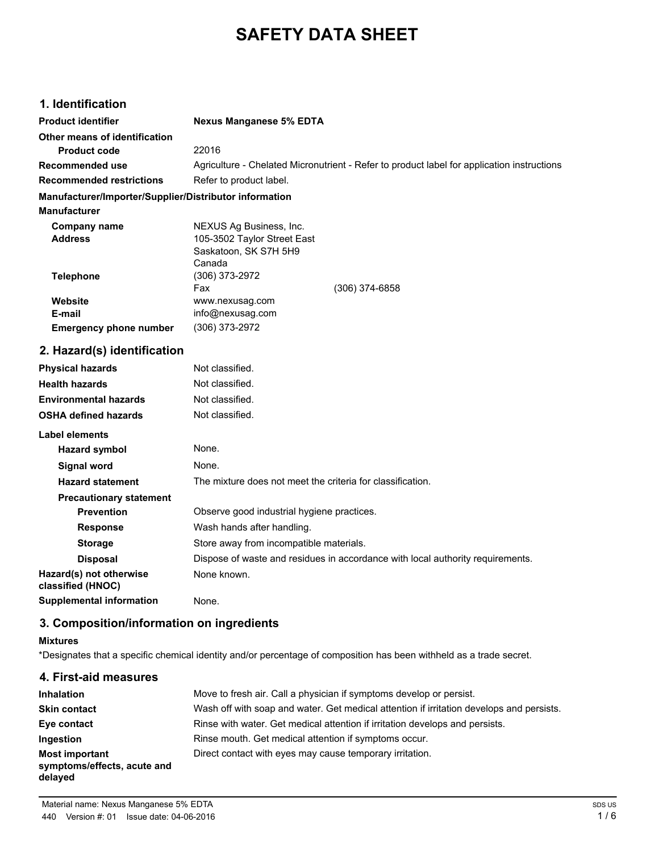# **SAFETY DATA SHEET**

# **1. Identification**

| <b>Product identifier</b>                              | <b>Nexus Manganese 5% EDTA</b>                                                             |  |
|--------------------------------------------------------|--------------------------------------------------------------------------------------------|--|
| Other means of identification                          |                                                                                            |  |
| <b>Product code</b>                                    | 22016                                                                                      |  |
| <b>Recommended use</b>                                 | Agriculture - Chelated Micronutrient - Refer to product label for application instructions |  |
| <b>Recommended restrictions</b>                        | Refer to product label.                                                                    |  |
| Manufacturer/Importer/Supplier/Distributor information |                                                                                            |  |
| <b>Manufacturer</b>                                    |                                                                                            |  |
| Company name<br><b>Address</b>                         | NEXUS Ag Business, Inc.<br>105-3502 Taylor Street East<br>Saskatoon, SK S7H 5H9<br>Canada  |  |
| <b>Telephone</b>                                       | (306) 373-2972<br>Fax<br>$(306)$ 374-6858                                                  |  |
| Website<br>E-mail<br><b>Emergency phone number</b>     | www.nexusag.com<br>info@nexusag.com<br>(306) 373-2972                                      |  |
| 2. Hazard(s) identification                            |                                                                                            |  |
| <b>Physical hazards</b>                                | Not classified.                                                                            |  |
| <b>Health hazards</b>                                  | Not classified.                                                                            |  |
| <b>Environmental hazards</b>                           | Not classified.                                                                            |  |
| <b>OSHA defined hazards</b>                            | Not classified.                                                                            |  |
| <b>Label elements</b>                                  |                                                                                            |  |
| <b>Hazard symbol</b>                                   | None.                                                                                      |  |
| <b>Signal word</b>                                     | None.                                                                                      |  |
| <b>Hazard statement</b>                                | The mixture does not meet the criteria for classification.                                 |  |
| <b>Precautionary statement</b>                         |                                                                                            |  |
| <b>Prevention</b>                                      | Observe good industrial hygiene practices.                                                 |  |
| <b>Response</b>                                        | Wash hands after handling.                                                                 |  |

| <b>Response</b>                              | Wash hands after handling.                                                     |  |
|----------------------------------------------|--------------------------------------------------------------------------------|--|
| <b>Storage</b>                               | Store away from incompatible materials.                                        |  |
| <b>Disposal</b>                              | Dispose of waste and residues in accordance with local authority requirements. |  |
| Hazard(s) not otherwise<br>classified (HNOC) | None known.                                                                    |  |
| <b>Supplemental information</b>              | None.                                                                          |  |

**3. Composition/information on ingredients**

## **Mixtures**

\*Designates that a specific chemical identity and/or percentage of composition has been withheld as a trade secret.

| 4. First-aid measures                                           |                                                                                          |
|-----------------------------------------------------------------|------------------------------------------------------------------------------------------|
| Inhalation                                                      | Move to fresh air. Call a physician if symptoms develop or persist.                      |
| <b>Skin contact</b>                                             | Wash off with soap and water. Get medical attention if irritation develops and persists. |
| Eye contact                                                     | Rinse with water. Get medical attention if irritation develops and persists.             |
| Ingestion                                                       | Rinse mouth. Get medical attention if symptoms occur.                                    |
| <b>Most important</b><br>symptoms/effects, acute and<br>delayed | Direct contact with eyes may cause temporary irritation.                                 |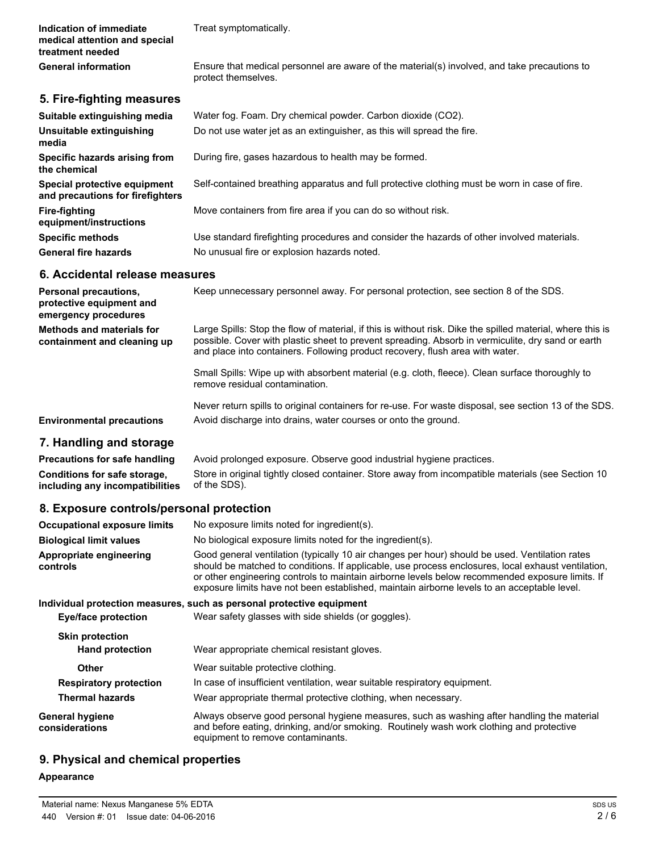**Indication of immediate medical attention and special treatment needed**

Treat symptomatically.

General information **Ensure that medical personnel are aware of the material(s) involved, and take precautions to** protect themselves.

#### **5. Fire-fighting measures**

| Suitable extinguishing media                                     | Water fog. Foam. Dry chemical powder. Carbon dioxide (CO2).                                   |
|------------------------------------------------------------------|-----------------------------------------------------------------------------------------------|
| Unsuitable extinguishing<br>media                                | Do not use water jet as an extinguisher, as this will spread the fire.                        |
| Specific hazards arising from<br>the chemical                    | During fire, gases hazardous to health may be formed.                                         |
| Special protective equipment<br>and precautions for firefighters | Self-contained breathing apparatus and full protective clothing must be worn in case of fire. |
| Fire-fighting<br>equipment/instructions                          | Move containers from fire area if you can do so without risk.                                 |
| <b>Specific methods</b>                                          | Use standard firefighting procedures and consider the hazards of other involved materials.    |
| <b>General fire hazards</b>                                      | No unusual fire or explosion hazards noted.                                                   |

## **6. Accidental release measures**

| <b>Personal precautions,</b><br>protective equipment and<br>emergency procedures | Keep unnecessary personnel away. For personal protection, see section 8 of the SDS.                                                                                                                                                                                                              |
|----------------------------------------------------------------------------------|--------------------------------------------------------------------------------------------------------------------------------------------------------------------------------------------------------------------------------------------------------------------------------------------------|
| <b>Methods and materials for</b><br>containment and cleaning up                  | Large Spills: Stop the flow of material, if this is without risk. Dike the spilled material, where this is<br>possible. Cover with plastic sheet to prevent spreading. Absorb in vermiculite, dry sand or earth<br>and place into containers. Following product recovery, flush area with water. |
|                                                                                  | Small Spills: Wipe up with absorbent material (e.g. cloth, fleece). Clean surface thoroughly to<br>remove residual contamination.                                                                                                                                                                |
|                                                                                  | Never return spills to original containers for re-use. For waste disposal, see section 13 of the SDS.                                                                                                                                                                                            |
| <b>Environmental precautions</b>                                                 | Avoid discharge into drains, water courses or onto the ground.                                                                                                                                                                                                                                   |
| 7 Handling and otaxona                                                           |                                                                                                                                                                                                                                                                                                  |

## **7. Handling and storage**

**Precautions for safe handling** Avoid prolonged exposure. Observe good industrial hygiene practices. **Conditions for safe storage, including any incompatibilities** Store in original tightly closed container. Store away from incompatible materials (see Section 10 of the SDS).

## **8. Exposure controls/personal protection**

| <b>Occupational exposure limits</b>      | No exposure limits noted for ingredient(s).                                                                                                                                                                                                                                                                                                                                                            |  |
|------------------------------------------|--------------------------------------------------------------------------------------------------------------------------------------------------------------------------------------------------------------------------------------------------------------------------------------------------------------------------------------------------------------------------------------------------------|--|
| <b>Biological limit values</b>           | No biological exposure limits noted for the ingredient(s).                                                                                                                                                                                                                                                                                                                                             |  |
| Appropriate engineering<br>controls      | Good general ventilation (typically 10 air changes per hour) should be used. Ventilation rates<br>should be matched to conditions. If applicable, use process enclosures, local exhaust ventilation,<br>or other engineering controls to maintain airborne levels below recommended exposure limits. If<br>exposure limits have not been established, maintain airborne levels to an acceptable level. |  |
|                                          | Individual protection measures, such as personal protective equipment                                                                                                                                                                                                                                                                                                                                  |  |
| Eye/face protection                      | Wear safety glasses with side shields (or goggles).                                                                                                                                                                                                                                                                                                                                                    |  |
| <b>Skin protection</b>                   |                                                                                                                                                                                                                                                                                                                                                                                                        |  |
| <b>Hand protection</b>                   | Wear appropriate chemical resistant gloves.                                                                                                                                                                                                                                                                                                                                                            |  |
| <b>Other</b>                             | Wear suitable protective clothing.                                                                                                                                                                                                                                                                                                                                                                     |  |
| <b>Respiratory protection</b>            | In case of insufficient ventilation, wear suitable respiratory equipment.                                                                                                                                                                                                                                                                                                                              |  |
| <b>Thermal hazards</b>                   | Wear appropriate thermal protective clothing, when necessary.                                                                                                                                                                                                                                                                                                                                          |  |
| <b>General hygiene</b><br>considerations | Always observe good personal hygiene measures, such as washing after handling the material<br>and before eating, drinking, and/or smoking. Routinely wash work clothing and protective<br>equipment to remove contaminants.                                                                                                                                                                            |  |

## **9. Physical and chemical properties**

#### **Appearance**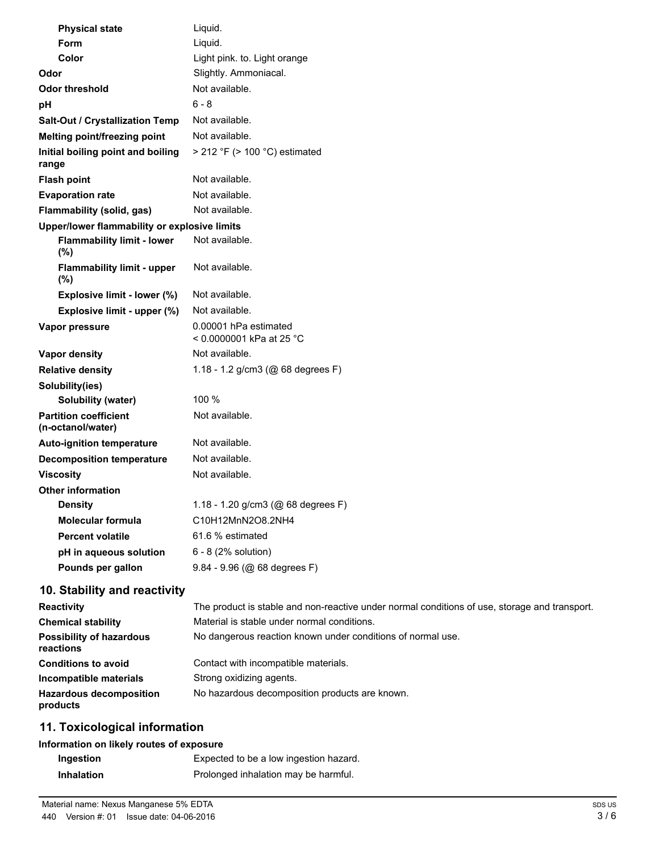| <b>Physical state</b>                             | Liquid.                                                                                       |
|---------------------------------------------------|-----------------------------------------------------------------------------------------------|
| Form                                              | Liquid.                                                                                       |
| Color                                             | Light pink. to. Light orange                                                                  |
| Odor                                              | Slightly. Ammoniacal.                                                                         |
| <b>Odor threshold</b>                             | Not available.                                                                                |
| рH                                                | $6 - 8$                                                                                       |
| Salt-Out / Crystallization Temp                   | Not available.                                                                                |
| Melting point/freezing point                      | Not available.                                                                                |
| Initial boiling point and boiling<br>range        | $>$ 212 °F ( $>$ 100 °C) estimated                                                            |
| <b>Flash point</b>                                | Not available.                                                                                |
| <b>Evaporation rate</b>                           | Not available.                                                                                |
| Flammability (solid, gas)                         | Not available.                                                                                |
| Upper/lower flammability or explosive limits      |                                                                                               |
| <b>Flammability limit - lower</b><br>(%)          | Not available.                                                                                |
| <b>Flammability limit - upper</b><br>(%)          | Not available.                                                                                |
| Explosive limit - lower (%)                       | Not available.                                                                                |
| Explosive limit - upper (%)                       | Not available.                                                                                |
| Vapor pressure                                    | 0.00001 hPa estimated<br>< 0.0000001 kPa at 25 °C                                             |
| Vapor density                                     | Not available.                                                                                |
| <b>Relative density</b>                           | 1.18 - 1.2 g/cm3 (@ 68 degrees F)                                                             |
| Solubility(ies)                                   |                                                                                               |
| Solubility (water)                                | 100 %                                                                                         |
| <b>Partition coefficient</b><br>(n-octanol/water) | Not available.                                                                                |
| <b>Auto-ignition temperature</b>                  | Not available.                                                                                |
| <b>Decomposition temperature</b>                  | Not available.                                                                                |
| <b>Viscosity</b>                                  | Not available.                                                                                |
| <b>Other information</b>                          |                                                                                               |
| <b>Density</b>                                    | 1.18 - 1.20 g/cm3 (@ 68 degrees F)                                                            |
| <b>Molecular formula</b>                          | C10H12MnN2O8.2NH4                                                                             |
| <b>Percent volatile</b>                           | 61.6 % estimated                                                                              |
| pH in aqueous solution                            | 6 - 8 (2% solution)                                                                           |
| Pounds per gallon                                 | 9.84 - 9.96 (@ 68 degrees F)                                                                  |
| 10. Stability and reactivity                      |                                                                                               |
| <b>Reactivity</b>                                 | The product is stable and non-reactive under normal conditions of use, storage and transport. |
| <b>Chemical stability</b>                         | Material is stable under normal conditions.                                                   |
| <b>Possibility of hazardous</b><br>reactions      | No dangerous reaction known under conditions of normal use.                                   |
| <b>Conditions to avoid</b>                        | Contact with incompatible materials.                                                          |
| Incompatible materials                            | Strong oxidizing agents.                                                                      |
| <b>Hazardous decomposition</b><br>products        | No hazardous decomposition products are known.                                                |
| 11. Toxicological information                     |                                                                                               |

## **Information on likely routes of exposure**

| Ingestion         | Expected to be a low ingestion hazard. |  |
|-------------------|----------------------------------------|--|
| <b>Inhalation</b> | Prolonged inhalation may be harmful.   |  |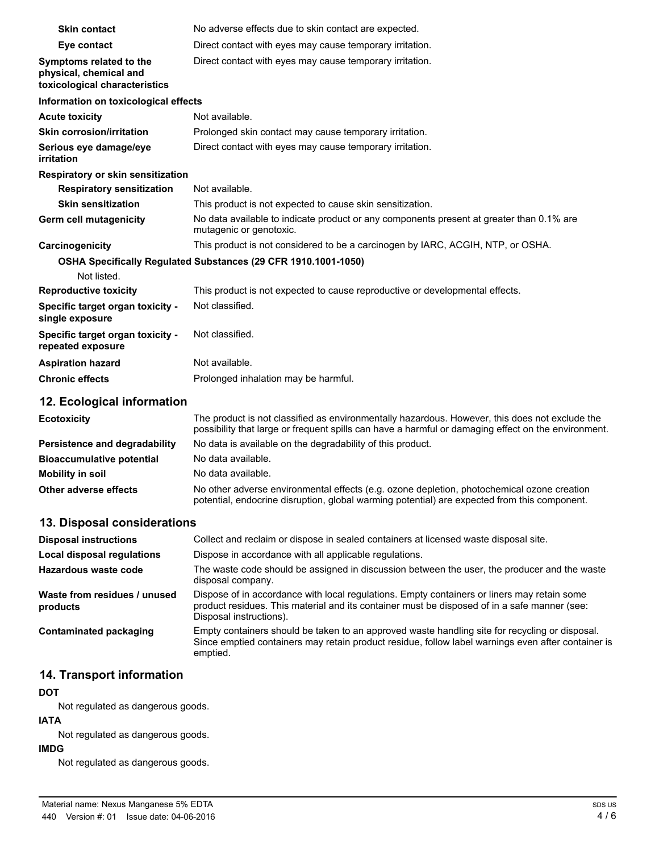| <b>Skin contact</b>                                                                | No adverse effects due to skin contact are expected.                                                                |
|------------------------------------------------------------------------------------|---------------------------------------------------------------------------------------------------------------------|
| Eye contact                                                                        | Direct contact with eyes may cause temporary irritation.                                                            |
| Symptoms related to the<br>physical, chemical and<br>toxicological characteristics | Direct contact with eyes may cause temporary irritation.                                                            |
| Information on toxicological effects                                               |                                                                                                                     |
| <b>Acute toxicity</b>                                                              | Not available.                                                                                                      |
| <b>Skin corrosion/irritation</b>                                                   | Prolonged skin contact may cause temporary irritation.                                                              |
| Serious eye damage/eye<br>irritation                                               | Direct contact with eyes may cause temporary irritation.                                                            |
| Respiratory or skin sensitization                                                  |                                                                                                                     |
| <b>Respiratory sensitization</b>                                                   | Not available.                                                                                                      |
| <b>Skin sensitization</b>                                                          | This product is not expected to cause skin sensitization.                                                           |
| <b>Germ cell mutagenicity</b>                                                      | No data available to indicate product or any components present at greater than 0.1% are<br>mutagenic or genotoxic. |
| Carcinogenicity                                                                    | This product is not considered to be a carcinogen by IARC, ACGIH, NTP, or OSHA.                                     |
| Not listed.                                                                        | OSHA Specifically Regulated Substances (29 CFR 1910.1001-1050)                                                      |
| <b>Reproductive toxicity</b>                                                       | This product is not expected to cause reproductive or developmental effects.                                        |
| Specific target organ toxicity -<br>single exposure                                | Not classified.                                                                                                     |
| Specific target organ toxicity -<br>repeated exposure                              | Not classified.                                                                                                     |
| <b>Aspiration hazard</b>                                                           | Not available.                                                                                                      |
| <b>Chronic effects</b>                                                             | Prolonged inhalation may be harmful.                                                                                |
|                                                                                    |                                                                                                                     |

## **12. Ecological information**

| <b>Ecotoxicity</b>               | The product is not classified as environmentally hazardous. However, this does not exclude the<br>possibility that large or frequent spills can have a harmful or damaging effect on the environment. |
|----------------------------------|-------------------------------------------------------------------------------------------------------------------------------------------------------------------------------------------------------|
| Persistence and degradability    | No data is available on the degradability of this product.                                                                                                                                            |
| <b>Bioaccumulative potential</b> | No data available.                                                                                                                                                                                    |
| Mobility in soil                 | No data available.                                                                                                                                                                                    |
| Other adverse effects            | No other adverse environmental effects (e.g. ozone depletion, photochemical ozone creation<br>potential, endocrine disruption, global warming potential) are expected from this component.            |

# **13. Disposal considerations**

| <b>Disposal instructions</b>             | Collect and reclaim or dispose in sealed containers at licensed waste disposal site.                                                                                                                                   |
|------------------------------------------|------------------------------------------------------------------------------------------------------------------------------------------------------------------------------------------------------------------------|
| <b>Local disposal regulations</b>        | Dispose in accordance with all applicable regulations.                                                                                                                                                                 |
| Hazardous waste code                     | The waste code should be assigned in discussion between the user, the producer and the waste<br>disposal company.                                                                                                      |
| Waste from residues / unused<br>products | Dispose of in accordance with local regulations. Empty containers or liners may retain some<br>product residues. This material and its container must be disposed of in a safe manner (see:<br>Disposal instructions). |
| Contaminated packaging                   | Empty containers should be taken to an approved waste handling site for recycling or disposal.<br>Since emptied containers may retain product residue, follow label warnings even after container is<br>emptied.       |

# **14. Transport information**

#### **DOT**

Not regulated as dangerous goods.

#### **IATA**

Not regulated as dangerous goods.

#### **IMDG**

Not regulated as dangerous goods.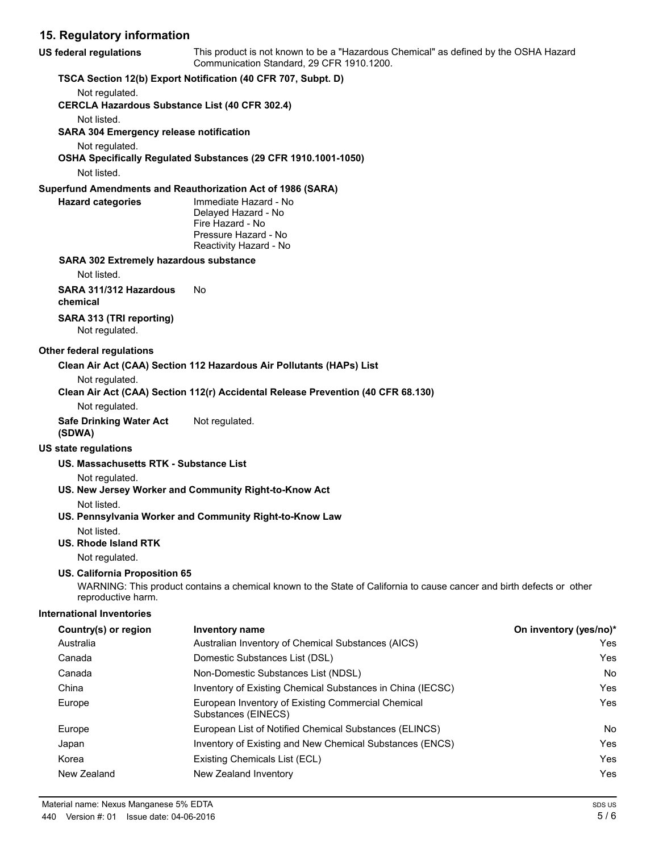| 15. Regulatory information                                              |                                                                                                                                   |                        |
|-------------------------------------------------------------------------|-----------------------------------------------------------------------------------------------------------------------------------|------------------------|
| <b>US federal regulations</b>                                           | This product is not known to be a "Hazardous Chemical" as defined by the OSHA Hazard<br>Communication Standard, 29 CFR 1910.1200. |                        |
|                                                                         | TSCA Section 12(b) Export Notification (40 CFR 707, Subpt. D)                                                                     |                        |
| Not regulated.<br><b>CERCLA Hazardous Substance List (40 CFR 302.4)</b> |                                                                                                                                   |                        |
| Not listed.<br><b>SARA 304 Emergency release notification</b>           |                                                                                                                                   |                        |
| Not regulated.                                                          |                                                                                                                                   |                        |
|                                                                         | OSHA Specifically Regulated Substances (29 CFR 1910.1001-1050)                                                                    |                        |
| Not listed.                                                             |                                                                                                                                   |                        |
|                                                                         | Superfund Amendments and Reauthorization Act of 1986 (SARA)                                                                       |                        |
| <b>Hazard categories</b>                                                | Immediate Hazard - No<br>Delayed Hazard - No<br>Fire Hazard - No<br>Pressure Hazard - No                                          |                        |
|                                                                         | Reactivity Hazard - No                                                                                                            |                        |
| <b>SARA 302 Extremely hazardous substance</b><br>Not listed.            |                                                                                                                                   |                        |
| SARA 311/312 Hazardous<br>chemical                                      | No.                                                                                                                               |                        |
| SARA 313 (TRI reporting)<br>Not regulated.                              |                                                                                                                                   |                        |
| Other federal regulations                                               |                                                                                                                                   |                        |
|                                                                         | Clean Air Act (CAA) Section 112 Hazardous Air Pollutants (HAPs) List                                                              |                        |
| Not regulated.                                                          | Clean Air Act (CAA) Section 112(r) Accidental Release Prevention (40 CFR 68.130)                                                  |                        |
| Not regulated.                                                          |                                                                                                                                   |                        |
| <b>Safe Drinking Water Act</b><br>(SDWA)                                | Not regulated.                                                                                                                    |                        |
| <b>US state regulations</b>                                             |                                                                                                                                   |                        |
| US. Massachusetts RTK - Substance List                                  |                                                                                                                                   |                        |
| Not regulated.                                                          | US. New Jersey Worker and Community Right-to-Know Act                                                                             |                        |
| Not listed.                                                             |                                                                                                                                   |                        |
|                                                                         | US. Pennsylvania Worker and Community Right-to-Know Law                                                                           |                        |
| Not listed.<br><b>US. Rhode Island RTK</b>                              |                                                                                                                                   |                        |
|                                                                         |                                                                                                                                   |                        |
| Not regulated.<br>US. California Proposition 65                         | WARNING: This product contains a chemical known to the State of California to cause cancer and birth defects or other             |                        |
| reproductive harm.                                                      |                                                                                                                                   |                        |
| <b>International Inventories</b>                                        |                                                                                                                                   |                        |
| Country(s) or region                                                    | <b>Inventory name</b>                                                                                                             | On inventory (yes/no)* |
| Australia                                                               | Australian Inventory of Chemical Substances (AICS)                                                                                | Yes                    |
| Canada                                                                  | Domestic Substances List (DSL)                                                                                                    | Yes                    |
| Canada                                                                  | Non-Domestic Substances List (NDSL)                                                                                               | No                     |
| China                                                                   | Inventory of Existing Chemical Substances in China (IECSC)                                                                        | Yes                    |
| Europe                                                                  | European Inventory of Existing Commercial Chemical                                                                                | Yes                    |